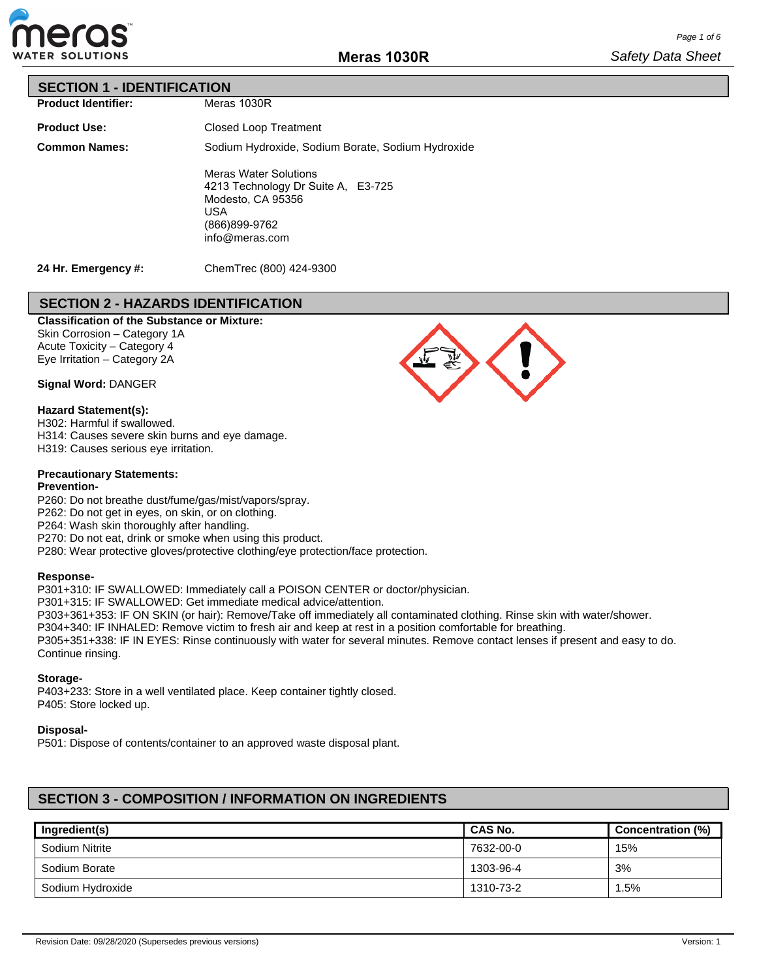

# **SECTION 1 - IDENTIFICATION**

| <b>Product Identifier:</b> |
|----------------------------|
|                            |
|                            |
|                            |

| <b>Product Use:</b>  | <b>Closed Loop Treatment</b>                                                                                                      |
|----------------------|-----------------------------------------------------------------------------------------------------------------------------------|
| <b>Common Names:</b> | Sodium Hydroxide, Sodium Borate, Sodium Hydroxide                                                                                 |
|                      | <b>Meras Water Solutions</b><br>4213 Technology Dr Suite A, E3-725<br>Modesto, CA 95356<br>USA<br>(866)899-9762<br>info@meras.com |

Meras 1030R

**24 Hr. Emergency #:**

ChemTrec (800) 424-9300

# **SECTION 2 - HAZARDS IDENTIFICATION**

# **Classification of the Substance or Mixture:**

Skin Corrosion – Category 1A Acute Toxicity – Category 4 Eye Irritation – Category 2A

**Signal Word:** DANGER

### **Hazard Statement(s):**

H302: Harmful if swallowed.

H314: Causes severe skin burns and eye damage.

H319: Causes serious eye irritation.

## **Precautionary Statements:**

## **Prevention-**

P260: Do not breathe dust/fume/gas/mist/vapors/spray.

P262: Do not get in eyes, on skin, or on clothing.

P264: Wash skin thoroughly after handling.

P270: Do not eat, drink or smoke when using this product.

P280: Wear protective gloves/protective clothing/eye protection/face protection.

#### **Response-**

P301+310: IF SWALLOWED: Immediately call a POISON CENTER or doctor/physician. P301+315: IF SWALLOWED: Get immediate medical advice/attention. P303+361+353: IF ON SKIN (or hair): Remove/Take off immediately all contaminated clothing. Rinse skin with water/shower. P304+340: IF INHALED: Remove victim to fresh air and keep at rest in a position comfortable for breathing. P305+351+338: IF IN EYES: Rinse continuously with water for several minutes. Remove contact lenses if present and easy to do. Continue rinsing.

### **Storage-**

P403+233: Store in a well ventilated place. Keep container tightly closed. P405: Store locked up.

#### **Disposal-**

P501: Dispose of contents/container to an approved waste disposal plant.

# **SECTION 3 - COMPOSITION / INFORMATION ON INGREDIENTS**

| Ingredient(s)    | <b>CAS No.</b> | <b>Concentration (%)</b> |
|------------------|----------------|--------------------------|
| Sodium Nitrite   | 7632-00-0      | 15%                      |
| Sodium Borate    | 1303-96-4      | 3%                       |
| Sodium Hydroxide | 1310-73-2      | 1.5%                     |

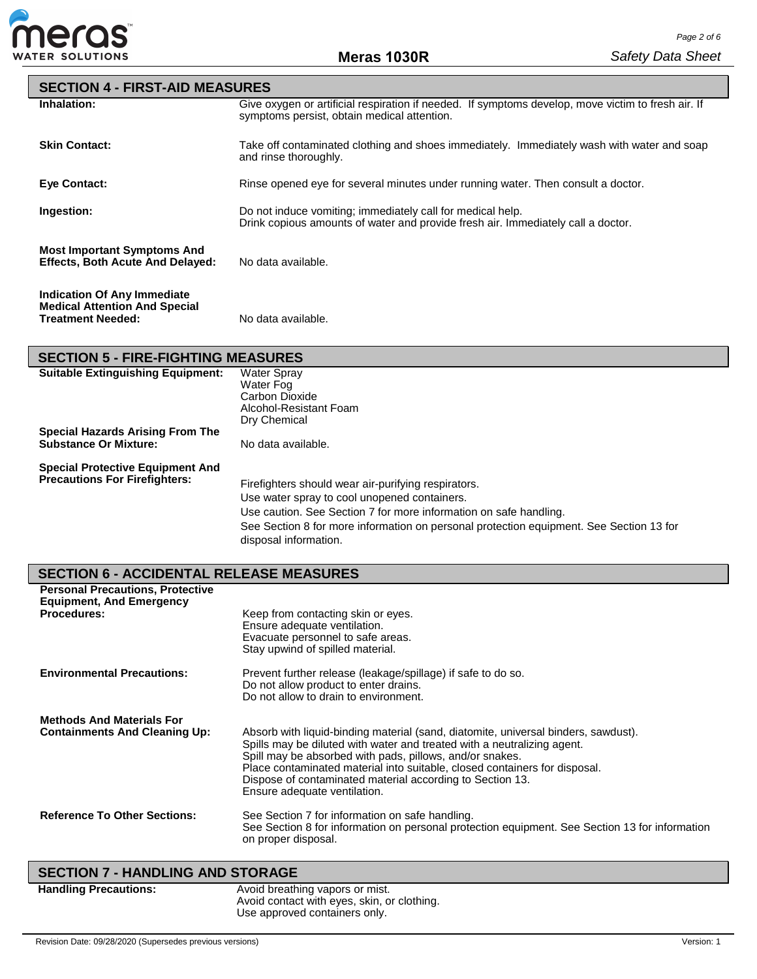

| <b>SECTION 4 - FIRST-AID MEASURES</b>                                                           |                                                                                                                                                   |
|-------------------------------------------------------------------------------------------------|---------------------------------------------------------------------------------------------------------------------------------------------------|
| Inhalation:                                                                                     | Give oxygen or artificial respiration if needed. If symptoms develop, move victim to fresh air. If<br>symptoms persist, obtain medical attention. |
| <b>Skin Contact:</b>                                                                            | Take off contaminated clothing and shoes immediately. Immediately wash with water and soap<br>and rinse thoroughly.                               |
| Eye Contact:                                                                                    | Rinse opened eye for several minutes under running water. Then consult a doctor.                                                                  |
| Ingestion:                                                                                      | Do not induce vomiting; immediately call for medical help.<br>Drink copious amounts of water and provide fresh air. Immediately call a doctor.    |
| <b>Most Important Symptoms And</b><br><b>Effects, Both Acute And Delayed:</b>                   | No data available.                                                                                                                                |
| Indication Of Any Immediate<br><b>Medical Attention And Special</b><br><b>Treatment Needed:</b> | No data available.                                                                                                                                |

# **SECTION 5 - FIRE-FIGHTING MEASURES**

| <b>Suitable Extinguishing Equipment:</b>                                        | <b>Water Spray</b><br>Water Fog<br>Carbon Dioxide<br>Alcohol-Resistant Foam                                                                                                                                                                                                                  |
|---------------------------------------------------------------------------------|----------------------------------------------------------------------------------------------------------------------------------------------------------------------------------------------------------------------------------------------------------------------------------------------|
| Special Hazards Arising From The<br><b>Substance Or Mixture:</b>                | Dry Chemical<br>No data available.                                                                                                                                                                                                                                                           |
| <b>Special Protective Equipment And</b><br><b>Precautions For Firefighters:</b> | Firefighters should wear air-purifying respirators.<br>Use water spray to cool unopened containers.<br>Use caution. See Section 7 for more information on safe handling.<br>See Section 8 for more information on personal protection equipment. See Section 13 for<br>disposal information. |

# **SECTION 6 - ACCIDENTAL RELEASE MEASURES**

| <b>Personal Precautions, Protective</b>                                  |                                                                                                                                                                                                                                                                                                                                                                                                      |
|--------------------------------------------------------------------------|------------------------------------------------------------------------------------------------------------------------------------------------------------------------------------------------------------------------------------------------------------------------------------------------------------------------------------------------------------------------------------------------------|
| <b>Equipment, And Emergency</b><br><b>Procedures:</b>                    | Keep from contacting skin or eyes.<br>Ensure adequate ventilation.<br>Evacuate personnel to safe areas.<br>Stay upwind of spilled material.                                                                                                                                                                                                                                                          |
| <b>Environmental Precautions:</b>                                        | Prevent further release (leakage/spillage) if safe to do so.<br>Do not allow product to enter drains.<br>Do not allow to drain to environment.                                                                                                                                                                                                                                                       |
| <b>Methods And Materials For</b><br><b>Containments And Cleaning Up:</b> | Absorb with liquid-binding material (sand, diatomite, universal binders, sawdust).<br>Spills may be diluted with water and treated with a neutralizing agent.<br>Spill may be absorbed with pads, pillows, and/or snakes.<br>Place contaminated material into suitable, closed containers for disposal.<br>Dispose of contaminated material according to Section 13.<br>Ensure adequate ventilation. |
| <b>Reference To Other Sections:</b>                                      | See Section 7 for information on safe handling.<br>See Section 8 for information on personal protection equipment. See Section 13 for information<br>on proper disposal.                                                                                                                                                                                                                             |
| <b>SECTION 7 - HANDLING AND STORAGE</b>                                  |                                                                                                                                                                                                                                                                                                                                                                                                      |

Handling Precautions: **Avoid breathing vapors or mist.** Avoid contact with eyes, skin, or clothing. Use approved containers only.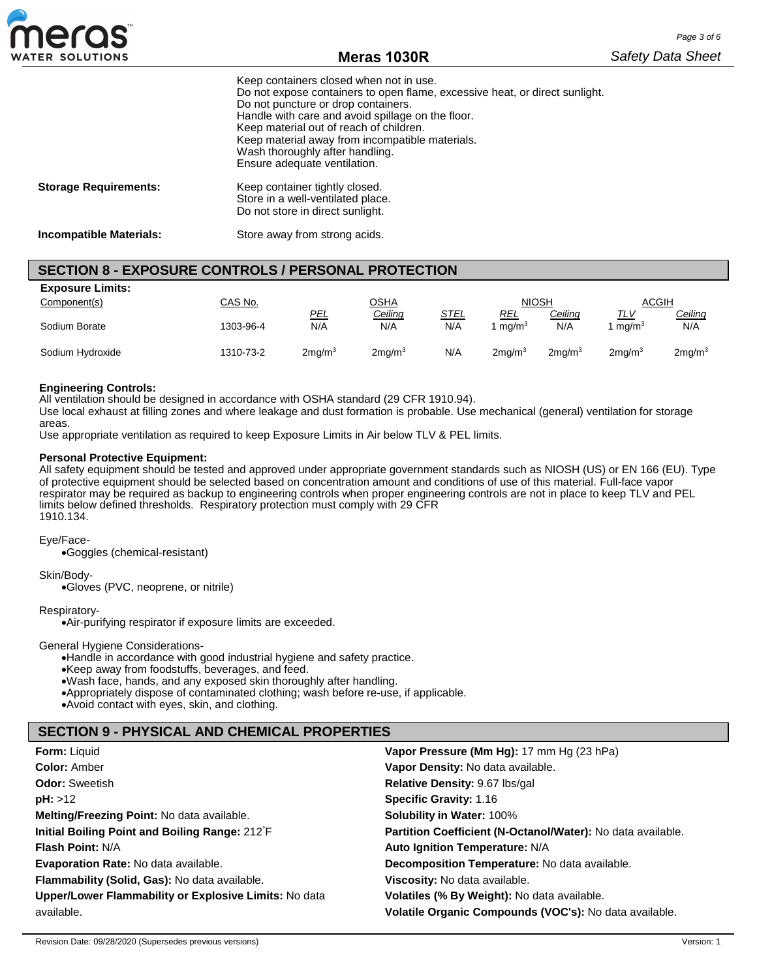

|                                | Keep containers closed when not in use.<br>Do not expose containers to open flame, excessive heat, or direct sunlight.<br>Do not puncture or drop containers.<br>Handle with care and avoid spillage on the floor.<br>Keep material out of reach of children.<br>Keep material away from incompatible materials.<br>Wash thoroughly after handling.<br>Ensure adequate ventilation. |
|--------------------------------|-------------------------------------------------------------------------------------------------------------------------------------------------------------------------------------------------------------------------------------------------------------------------------------------------------------------------------------------------------------------------------------|
| <b>Storage Requirements:</b>   | Keep container tightly closed.<br>Store in a well-ventilated place.<br>Do not store in direct sunlight.                                                                                                                                                                                                                                                                             |
| <b>Incompatible Materials:</b> | Store away from strong acids.                                                                                                                                                                                                                                                                                                                                                       |

# **SECTION 8 - EXPOSURE CONTROLS / PERSONAL PROTECTION**

| <b>Exposure Limits:</b> |           |                    |                    |             |                   |                    |                    |                    |
|-------------------------|-----------|--------------------|--------------------|-------------|-------------------|--------------------|--------------------|--------------------|
| Component(s)            | CAS No.   | <b>OSHA</b>        |                    |             | <b>NIOSH</b>      |                    | <b>ACGIH</b>       |                    |
|                         |           | <u>PEL</u>         | Ceiling            | <u>STEL</u> | <u>REL</u>        | Ceiling            | <u>TLV</u>         | <u>Ceiling</u>     |
| Sodium Borate           | 1303-96-4 | N/A                | N/A                | N/A         | ma/m <sup>3</sup> | N/A                | mq/m <sup>3</sup>  | N/A                |
|                         |           |                    |                    |             |                   |                    |                    |                    |
| Sodium Hydroxide        | 1310-73-2 | 2mg/m <sup>3</sup> | 2mg/m <sup>3</sup> | N/A         | $2$ ma/m $3$      | 2ma/m <sup>3</sup> | 2ma/m <sup>3</sup> | 2mg/m <sup>3</sup> |

#### **Engineering Controls:**

All ventilation should be designed in accordance with OSHA standard (29 CFR 1910.94).

Use local exhaust at filling zones and where leakage and dust formation is probable. Use mechanical (general) ventilation for storage areas.

Use appropriate ventilation as required to keep Exposure Limits in Air below TLV & PEL limits.

#### **Personal Protective Equipment:**

All safety equipment should be tested and approved under appropriate government standards such as NIOSH (US) or EN 166 (EU). Type of protective equipment should be selected based on concentration amount and conditions of use of this material. Full-face vapor respirator may be required as backup to engineering controls when proper engineering controls are not in place to keep TLV and PEL limits below defined thresholds. Respiratory protection must comply with 29 CFR 1910.134.

#### Eye/Face-

•Goggles (chemical-resistant)

#### Skin/Body-

•Gloves (PVC, neoprene, or nitrile)

#### Respiratory-

•Air-purifying respirator if exposure limits are exceeded.

#### General Hygiene Considerations-

•Handle in accordance with good industrial hygiene and safety practice.

•Keep away from foodstuffs, beverages, and feed.

•Wash face, hands, and any exposed skin thoroughly after handling.

•Appropriately dispose of contaminated clothing; wash before re-use, if applicable.

•Avoid contact with eyes, skin, and clothing.

## **SECTION 9 - PHYSICAL AND CHEMICAL PROPERTIES**

| <b>Form: Liquid</b>                                   | Vapor Pressure (Mm Hg): 17 mm Hg (23 hPa)                   |
|-------------------------------------------------------|-------------------------------------------------------------|
| <b>Color: Amber</b>                                   | Vapor Density: No data available.                           |
| <b>Odor: Sweetish</b>                                 | Relative Density: 9.67 lbs/gal                              |
| pH: >12                                               | <b>Specific Gravity: 1.16</b>                               |
| Melting/Freezing Point: No data available.            | <b>Solubility in Water: 100%</b>                            |
| Initial Boiling Point and Boiling Range: 212°F        | Partition Coefficient (N-Octanol/Water): No data available. |
| <b>Flash Point: N/A</b>                               | Auto Ignition Temperature: N/A                              |
| Evaporation Rate: No data available.                  | Decomposition Temperature: No data available.               |
| Flammability (Solid, Gas): No data available.         | Viscosity: No data available.                               |
| Upper/Lower Flammability or Explosive Limits: No data | Volatiles (% By Weight): No data available.                 |
| available.                                            | Volatile Organic Compounds (VOC's): No data available.      |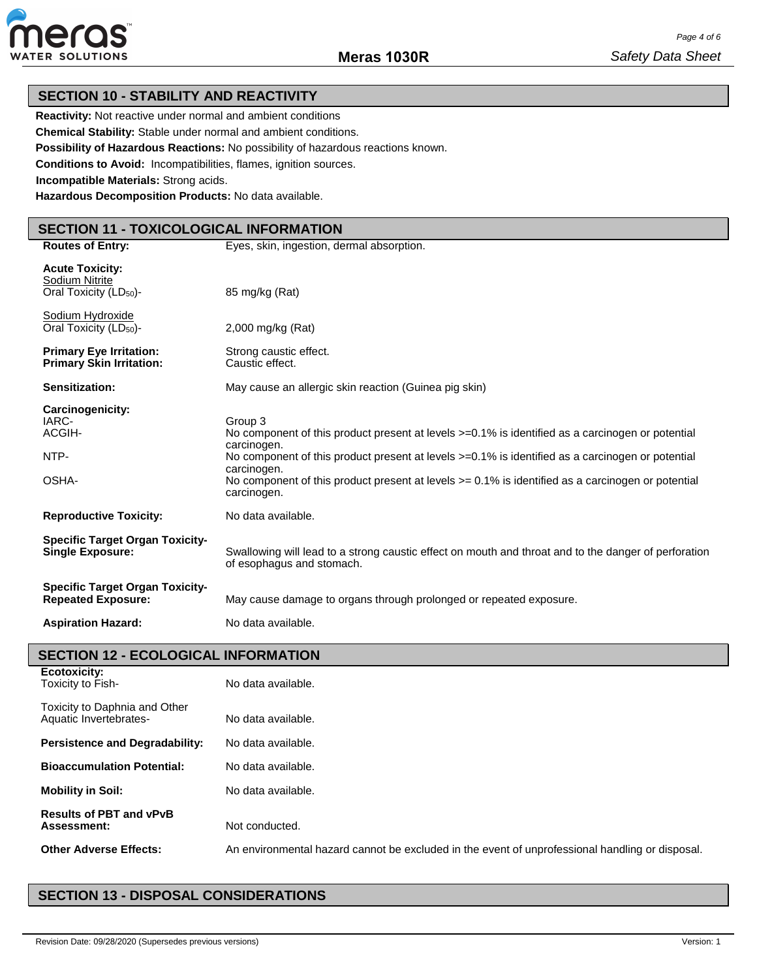

## **SECTION 10 - STABILITY AND REACTIVITY**

**Reactivity:** Not reactive under normal and ambient conditions

**Chemical Stability:** Stable under normal and ambient conditions.

**Possibility of Hazardous Reactions:** No possibility of hazardous reactions known.

**Conditions to Avoid:** Incompatibilities, flames, ignition sources.

**Incompatible Materials:** Strong acids.

**Hazardous Decomposition Products:** No data available.

# **SECTION 11 - TOXICOLOGICAL INFORMATION**

| <b>Routes of Entry:</b>                                                        | Eyes, skin, ingestion, dermal absorption.                                                                                                                                                                                      |
|--------------------------------------------------------------------------------|--------------------------------------------------------------------------------------------------------------------------------------------------------------------------------------------------------------------------------|
| <b>Acute Toxicity:</b><br>Sodium Nitrite<br>Oral Toxicity (LD <sub>50</sub> )- | 85 mg/kg (Rat)                                                                                                                                                                                                                 |
| Sodium Hydroxide<br>Oral Toxicity (LD <sub>50</sub> )-                         | 2,000 mg/kg (Rat)                                                                                                                                                                                                              |
| <b>Primary Eye Irritation:</b><br><b>Primary Skin Irritation:</b>              | Strong caustic effect.<br>Caustic effect.                                                                                                                                                                                      |
| <b>Sensitization:</b>                                                          | May cause an allergic skin reaction (Guinea pig skin)                                                                                                                                                                          |
| Carcinogenicity:<br>IARC-<br>ACGIH-<br>NTP-                                    | Group 3<br>No component of this product present at levels >=0.1% is identified as a carcinogen or potential<br>carcinogen.<br>No component of this product present at levels >=0.1% is identified as a carcinogen or potential |
| OSHA-                                                                          | carcinogen.<br>No component of this product present at levels $>= 0.1\%$ is identified as a carcinogen or potential<br>carcinogen.                                                                                             |
| <b>Reproductive Toxicity:</b>                                                  | No data available.                                                                                                                                                                                                             |
| <b>Specific Target Organ Toxicity-</b><br><b>Single Exposure:</b>              | Swallowing will lead to a strong caustic effect on mouth and throat and to the danger of perforation<br>of esophagus and stomach.                                                                                              |
| <b>Specific Target Organ Toxicity-</b><br><b>Repeated Exposure:</b>            | May cause damage to organs through prolonged or repeated exposure.                                                                                                                                                             |
| <b>Aspiration Hazard:</b>                                                      | No data available.                                                                                                                                                                                                             |
| <b>SECTION 12 - ECOLOGICAL INFORMATION</b>                                     |                                                                                                                                                                                                                                |
| <b>Ecotoxicity:</b><br>Toxicity to Fish-                                       | No data available.                                                                                                                                                                                                             |
| Toxicity to Daphnia and Other<br>Aquatic Invertebrates-                        | No data available.                                                                                                                                                                                                             |
| <b>Persistence and Degradability:</b>                                          | No data available.                                                                                                                                                                                                             |

**Bioaccumulation Potential:** No data available. **Mobility in Soil:** No data available.

Not conducted.

**Results of PBT and vPvB** 

**Other Adverse Effects:** An environmental hazard cannot be excluded in the event of unprofessional handling or disposal.

# **SECTION 13 - DISPOSAL CONSIDERATIONS**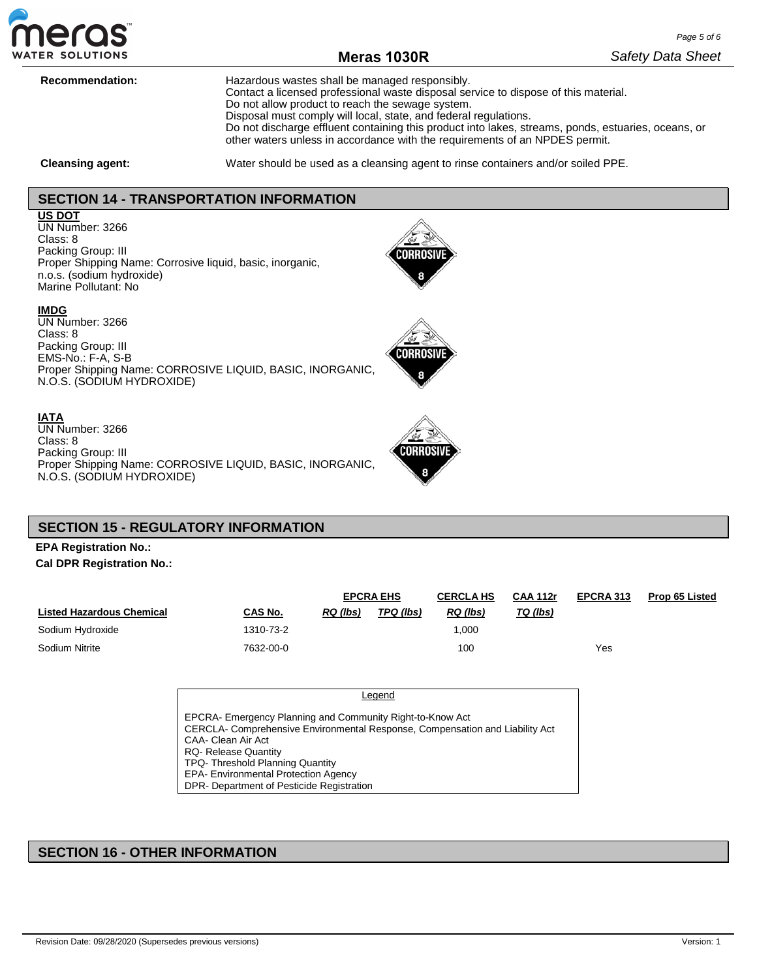

# **Meras 1030R**

**Recommendation:** Hazardous wastes shall be managed responsibly. Contact a licensed professional waste disposal service to dispose of this material. Do not allow product to reach the sewage system. Disposal must comply will local, state, and federal regulations. Do not discharge effluent containing this product into lakes, streams, ponds, estuaries, oceans, or other waters unless in accordance with the requirements of an NPDES permit.

**Cleansing agent:** Water should be used as a cleansing agent to rinse containers and/or soiled PPE.

**CORROSI** 

# **SECTION 14 - TRANSPORTATION INFORMATION**

#### **US DOT**

UN Number: 3266 Class: 8 Packing Group: III Proper Shipping Name: Corrosive liquid, basic, inorganic, n.o.s. (sodium hydroxide) Marine Pollutant: No

#### **IMDG**

UN Number: 3266 Class: 8 Packing Group: III EMS-No.: F-A, S-B Proper Shipping Name: CORROSIVE LIQUID, BASIC, INORGANIC, N.O.S. (SODIUM HYDROXIDE)

#### **IATA**

UN Number: 3266 Class: 8 Packing Group: III Proper Shipping Name: CORROSIVE LIQUID, BASIC, INORGANIC, N.O.S. (SODIUM HYDROXIDE)

# **SECTION 15 - REGULATORY INFORMATION**

## **EPA Registration No.: Cal DPR Registration No.:**

|                                  | <b>EPCRA EHS</b> |                 |           | <b>CERCLA HS</b> | <b>CAA 112r</b> | EPCRA 313 | <b>Prop 65 Listed</b> |
|----------------------------------|------------------|-----------------|-----------|------------------|-----------------|-----------|-----------------------|
| <b>Listed Hazardous Chemical</b> | CAS No.          | <b>RQ</b> (lbs) | TPQ (lbs) | RQ (lbs)         | TQ (lbs)        |           |                       |
| Sodium Hydroxide                 | 1310-73-2        |                 |           | ,000             |                 |           |                       |
| Sodium Nitrite                   | 7632-00-0        |                 |           | 100              |                 | Yes       |                       |

| Legend                                                                                                                                                                                                                                                                                                                 |  |
|------------------------------------------------------------------------------------------------------------------------------------------------------------------------------------------------------------------------------------------------------------------------------------------------------------------------|--|
| EPCRA- Emergency Planning and Community Right-to-Know Act<br>CERCLA- Comprehensive Environmental Response, Compensation and Liability Act<br>CAA- Clean Air Act<br><b>RQ- Release Quantity</b><br>TPQ-Threshold Planning Quantity<br>EPA- Environmental Protection Agency<br>DPR- Department of Pesticide Registration |  |

## **SECTION 16 - OTHER INFORMATION**